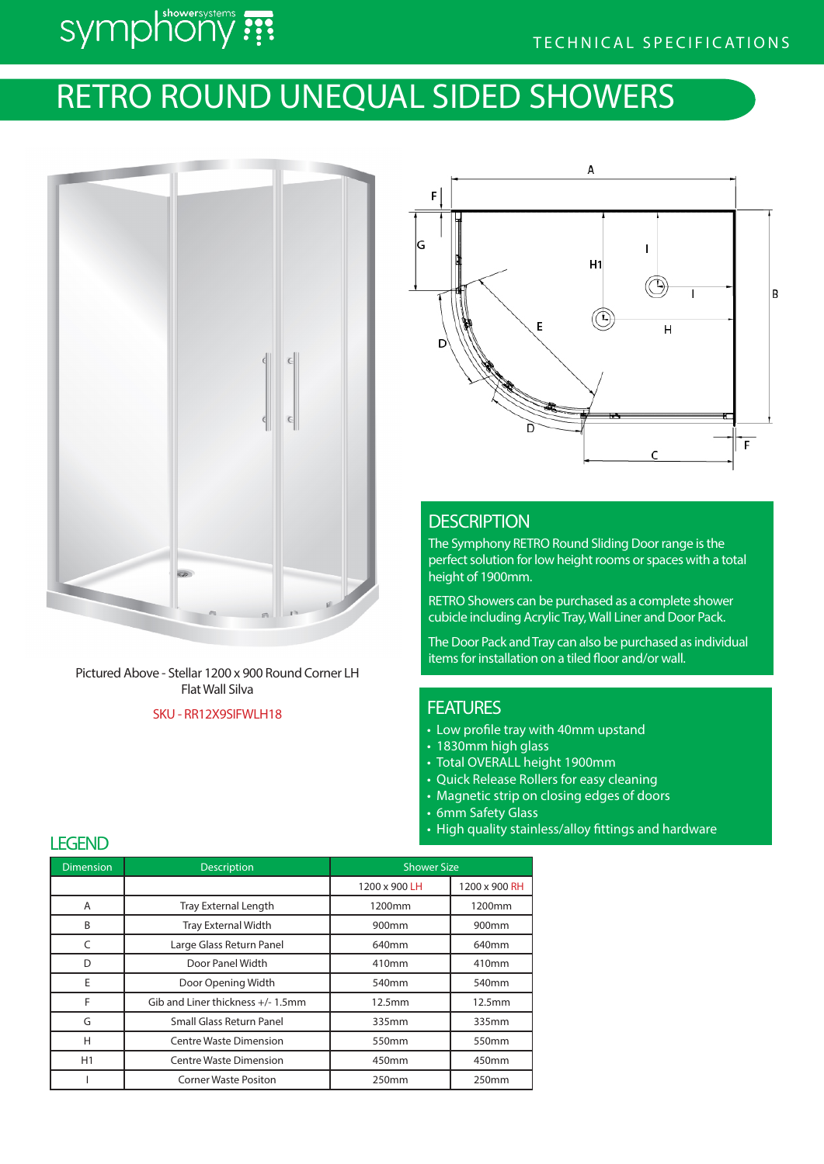# symphony ???

## RETRO ROUND UNEQUAL SIDED SHOWERS



Pictured Above - Stellar 1200 x 900 Round Corner LH Flat Wall Silva

### SKU - RR12X9SIFWLH18



## **DESCRIPTION**

The Symphony RETRO Round Sliding Door range is the perfect solution for low height rooms or spaces with a total height of 1900mm.

RETRO Showers can be purchased as a complete shower cubicle including Acrylic Tray, Wall Liner and Door Pack.

The Door Pack and Tray can also be purchased as individual items for installation on a tiled floor and/or wall.

## **FEATURES**

- Low profile tray with 40mm upstand
- 1830mm high glass
- Total OVERALL height 1900mm
- Quick Release Rollers for easy cleaning
- Magnetic strip on closing edges of doors
- 6mm Safety Glass
- High quality stainless/alloy fittings and hardware

| <b>Dimension</b> | <b>Description</b>               | <b>Shower Size</b> |                   |
|------------------|----------------------------------|--------------------|-------------------|
|                  |                                  | 1200 x 900 LH      | 1200 x 900 RH     |
| A                | <b>Tray External Length</b>      | 1200mm             | 1200mm            |
| B                | <b>Tray External Width</b>       | 900 <sub>mm</sub>  | 900 <sub>mm</sub> |
| C                | Large Glass Return Panel         | 640mm              | 640mm             |
| D                | Door Panel Width                 | 410mm              | 410mm             |
| E                | Door Opening Width               | 540mm              | 540mm             |
| F                | Gib and Liner thickness +/-1.5mm | 12.5mm             | 12.5mm            |
| G                | Small Glass Return Panel         | 335mm              | 335mm             |
| н                | <b>Centre Waste Dimension</b>    | 550mm              | 550 <sub>mm</sub> |
| H1               | <b>Centre Waste Dimension</b>    | 450mm              | 450mm             |
|                  | <b>Corner Waste Positon</b>      | 250mm              | 250mm             |

## **LEGEND**